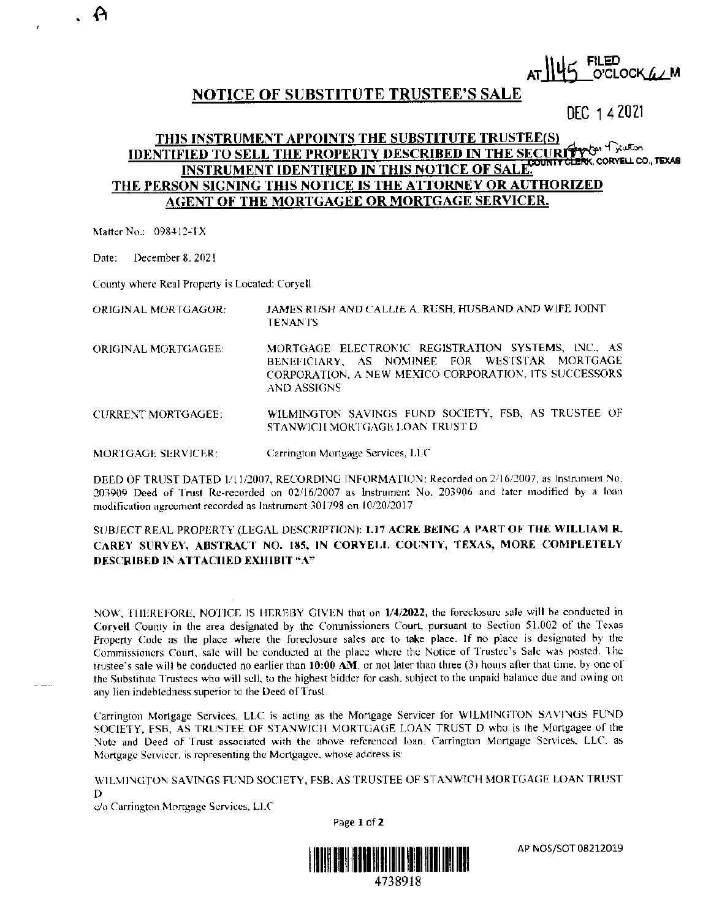# O'CLOCK A AM

## **NOTICE OF SUBSTITUTE TRUSTEE'S SALE**

DEC 142021

#### THIS INSTRUMENT APPOINTS THE SUBSTITUTE TRUSTEE(S) **IDENTIFIED TO SELL THE PROPERTY DESCRIBED IN THE SECURITY OF** ERK, CORYELL CO., TEXAS **INSTRUMENT IDENTIFIED IN THIS NOTICE OF SALE.** THE PERSON SIGNING THIS NOTICE IS THE ATTORNEY OR AUTHORIZED **AGENT OF THE MORTGAGEE OR MORTGAGE SERVICER.**

Matter No.: 098412-TX

December 8, 2021 Date:

County where Real Property is Located: Coryell

JAMES RUSH AND CALLIE A. RUSH, HUSBAND AND WIFE JOINT ORIGINAL MORTGAGOR: **TENANTS** 

- MORTGAGE ELECTRONIC REGISTRATION SYSTEMS, INC., AS ORIGINAL MORTGAGEE: BENEFICIARY, AS NOMINEE FOR WESTSTAR MORTGAGE CORPORATION, A NEW MEXICO CORPORATION, ITS SUCCESSORS **AND ASSIGNS**
- **CURRENT MORTGAGEE:** WILMINGTON SAVINGS FUND SOCIETY, FSB, AS TRUSTEE OF STANWICH MORTGAGE LOAN TRUST D
- Carrington Mortgage Services, LLC MORTGAGE SERVICER:

DEED OF TRUST DATED 1/11/2007, RECORDING INFORMATION: Recorded on 2/16/2007, as Instrument No. 203909 Deed of Trust Re-recorded on 02/16/2007 as Instrument No. 203906 and later modified by a loan modification agreement recorded as Instrument 301798 on 10/20/2017

### SUBJECT REAL PROPERTY (LEGAL DESCRIPTION): 1.17 ACRE BEING A PART OF THE WILLIAM R. CAREY SURVEY, ABSTRACT NO. 185, IN CORYELL COUNTY, TEXAS, MORE COMPLETELY **DESCRIBED IN ATTACHED EXHIBIT "A"**

NOW, THEREFORE, NOTICE IS HEREBY GIVEN that on 1/4/2022, the forcelosure sale will be conducted in Coryell County in the area designated by the Commissioners Court, pursuant to Section 51.002 of the Texas Property Code as the place where the foreclosure sales are to take place. If no place is designated by the Commissioners Court, sale will be conducted at the place where the Notice of Trustee's Sale was posted. The trustee's sale will be conducted no earlier than 10:00 AM, or not later than three (3) hours after that time, by one of the Substitute Trustees who will sell, to the highest bidder for cash, subject to the unpaid balance due and owing on any lien indebtedness superior to the Deed of Trust.

Carrington Mortgage Services. LLC is acting as the Mortgage Servicer for WILMINGTON SAVINGS FUND SOCIETY, FSB, AS TRUSTEE OF STANWICH MORTGAGE LOAN TRUST D who is the Mortgagee of the Note and Deed of Trust associated with the above referenced loan. Carrington Mortgage Services, LLC, as Mortgage Servicer, is representing the Mortgagee, whose address is:

WILMINGTON SAVINGS FUND SOCIETY, FSB, AS TRUSTEE OF STANWICH MORTGAGE LOAN TRUST D

c/o Carrington Mortgage Services, LLC

Page 1 of 2



AP NOS/SOT 08212019

. A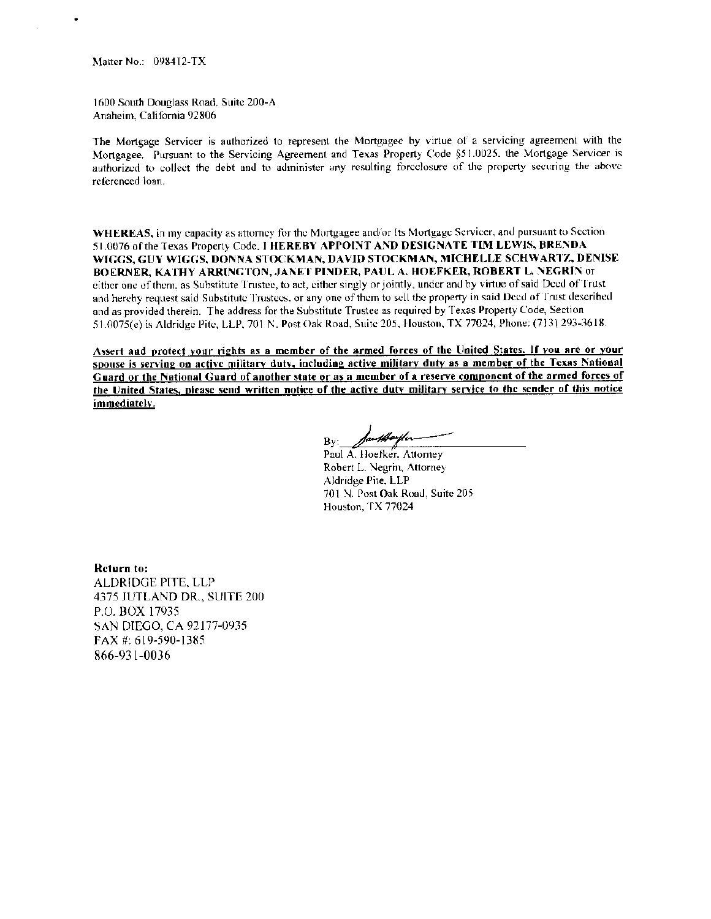Matter No.: 098412-TX

1600 South Douglass Road. Suite 200-A Anaheim. California 92806

The Mortgage Servicer is authorized to represent the Mortgagee by virtue of a servicing agreement with the Mortgagee. Pursuant to the Servicing Agreement and Texas Property Code §51.0025. the Mortgage Servicer is authorized to collect the debt and to administer any resulting foreclosure of the property securing the above referenced loan.

WHEREAS, in my capacity as attorney for the Mortgagee and/or Its Mortgage Servicer, and pursuant to Section 51.0076 of the Texas Property Code. I HEREBY APPOINT AND DESIGNATE TIM LEWIS, BRENDA WIGGS, GUY WIGGS, DONNA STOCKMAN, DAVID STOCKMAN, MICHELLE SCHWARTZ, DENISE BOERNER, KATHY ARRINGTON, JANET PINDER, PAUL A. HOEFKER, ROBERT L. NEGRIN or either one of them. as Substitute Tnistee, to act, either singly or jointly, under and by virtue of said Deed ofTrust and hereby request said Substitute Trustees, or any one of them to sell the property in said Deed of Trust described and as provided therein. The address for the Substitute Trustee as required by Texas Property Code, Section 51.0075(e) is Aldridge Pite, LLP, 701 N. Post Oak Road, Suite 205. Houston, TX 77024, Phone: (713) 293-3618.

Assert and protect your rights as a member of the armed forces of the United States. If you are or your spouse is serving on active military duty, including active military duty as a member of the Texas National Guard or the National Guard of another state or as a member of a reserve component of the armed forces of the United States, please send written notice of the active duty military service to the sender of this notice immediately.

By: *Ja<del>uthorfler*<br>Paul A. Hoefker, Attorney</del>

Robert L. Negrin, Attorney Aldridge Pite. LLP 701 N. Post Oak Road, Suite 205 Houston. TX 77024

Return to: ALDRIDGE PITE. LLP 4375 JUTLAND DR., SUITE 200 P.O. BOX 17935 SAN DIEGO, CA 92177-0935 FAX#: 619-590-1385 866-931-0036